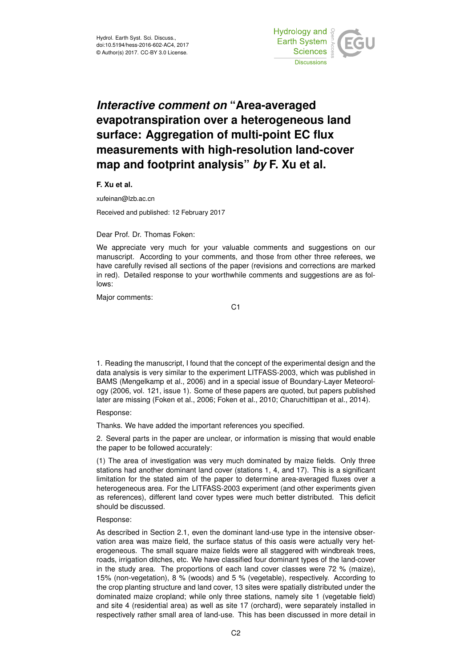

# *Interactive comment on* **"Area-averaged evapotranspiration over a heterogeneous land surface: Aggregation of multi-point EC flux measurements with high-resolution land-cover map and footprint analysis"** *by* **F. Xu et al.**

**F. Xu et al.**

xufeinan@lzb.ac.cn

Received and published: 12 February 2017

Dear Prof. Dr. Thomas Foken:

We appreciate very much for your valuable comments and suggestions on our manuscript. According to your comments, and those from other three referees, we have carefully revised all sections of the paper (revisions and corrections are marked in red). Detailed response to your worthwhile comments and suggestions are as follows:

Major comments:

C1

1. Reading the manuscript, I found that the concept of the experimental design and the data analysis is very similar to the experiment LITFASS-2003, which was published in BAMS (Mengelkamp et al., 2006) and in a special issue of Boundary-Layer Meteorology (2006, vol. 121, issue 1). Some of these papers are quoted, but papers published later are missing (Foken et al., 2006; Foken et al., 2010; Charuchittipan et al., 2014).

## Response:

Thanks. We have added the important references you specified.

2. Several parts in the paper are unclear, or information is missing that would enable the paper to be followed accurately:

(1) The area of investigation was very much dominated by maize fields. Only three stations had another dominant land cover (stations 1, 4, and 17). This is a significant limitation for the stated aim of the paper to determine area-averaged fluxes over a heterogeneous area. For the LITFASS-2003 experiment (and other experiments given as references), different land cover types were much better distributed. This deficit should be discussed.

#### Response:

As described in Section 2.1, even the dominant land-use type in the intensive observation area was maize field, the surface status of this oasis were actually very heterogeneous. The small square maize fields were all staggered with windbreak trees, roads, irrigation ditches, etc. We have classified four dominant types of the land-cover in the study area. The proportions of each land cover classes were 72 % (maize), 15% (non-vegetation), 8 % (woods) and 5 % (vegetable), respectively. According to the crop planting structure and land cover, 13 sites were spatially distributed under the dominated maize cropland; while only three stations, namely site 1 (vegetable field) and site 4 (residential area) as well as site 17 (orchard), were separately installed in respectively rather small area of land-use. This has been discussed in more detail in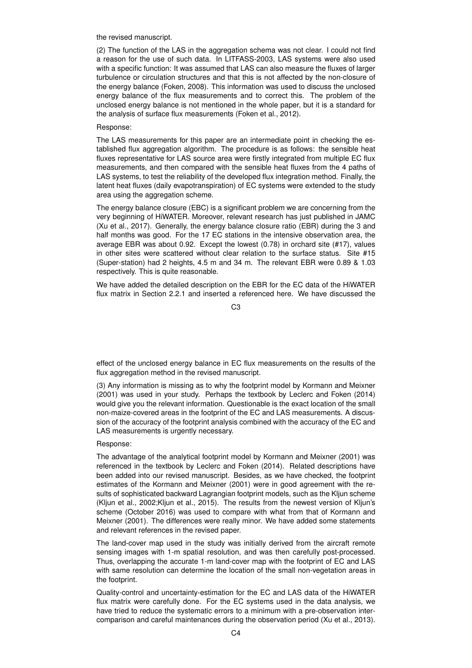the revised manuscript.

(2) The function of the LAS in the aggregation schema was not clear. I could not find a reason for the use of such data. In LITFASS-2003, LAS systems were also used with a specific function: It was assumed that LAS can also measure the fluxes of larger turbulence or circulation structures and that this is not affected by the non-closure of the energy balance (Foken, 2008). This information was used to discuss the unclosed energy balance of the flux measurements and to correct this. The problem of the unclosed energy balance is not mentioned in the whole paper, but it is a standard for the analysis of surface flux measurements (Foken et al., 2012).

# Response:

The LAS measurements for this paper are an intermediate point in checking the established flux aggregation algorithm. The procedure is as follows: the sensible heat fluxes representative for LAS source area were firstly integrated from multiple EC flux measurements, and then compared with the sensible heat fluxes from the 4 paths of LAS systems, to test the reliability of the developed flux integration method. Finally, the latent heat fluxes (daily evapotranspiration) of EC systems were extended to the study area using the aggregation scheme.

The energy balance closure (EBC) is a significant problem we are concerning from the very beginning of HiWATER. Moreover, relevant research has just published in JAMC (Xu et al., 2017). Generally, the energy balance closure ratio (EBR) during the 3 and half months was good. For the 17 EC stations in the intensive observation area, the average EBR was about 0.92. Except the lowest (0.78) in orchard site (#17), values in other sites were scattered without clear relation to the surface status. Site #15 (Super-station) had 2 heights, 4.5 m and 34 m. The relevant EBR were 0.89 & 1.03 respectively. This is quite reasonable.

We have added the detailed description on the EBR for the EC data of the HiWATER flux matrix in Section 2.2.1 and inserted a referenced here. We have discussed the

C3

effect of the unclosed energy balance in EC flux measurements on the results of the flux aggregation method in the revised manuscript.

(3) Any information is missing as to why the footprint model by Kormann and Meixner (2001) was used in your study. Perhaps the textbook by Leclerc and Foken (2014) would give you the relevant information. Questionable is the exact location of the small non-maize-covered areas in the footprint of the EC and LAS measurements. A discussion of the accuracy of the footprint analysis combined with the accuracy of the EC and LAS measurements is urgently necessary.

#### Response:

The advantage of the analytical footprint model by Kormann and Meixner (2001) was referenced in the textbook by Leclerc and Foken (2014). Related descriptions have been added into our revised manuscript. Besides, as we have checked, the footprint estimates of the Kormann and Meixner (2001) were in good agreement with the results of sophisticated backward Lagrangian footprint models, such as the Kljun scheme (Kljun et al., 2002;Kljun et al., 2015). The results from the newest version of Kljun's scheme (October 2016) was used to compare with what from that of Kormann and Meixner (2001). The differences were really minor. We have added some statements and relevant references in the revised paper.

The land-cover map used in the study was initially derived from the aircraft remote sensing images with 1-m spatial resolution, and was then carefully post-processed. Thus, overlapping the accurate 1-m land-cover map with the footprint of EC and LAS with same resolution can determine the location of the small non-vegetation areas in the footprint.

Quality-control and uncertainty-estimation for the EC and LAS data of the HiWATER flux matrix were carefully done. For the EC systems used in the data analysis, we have tried to reduce the systematic errors to a minimum with a pre-observation intercomparison and careful maintenances during the observation period (Xu et al., 2013).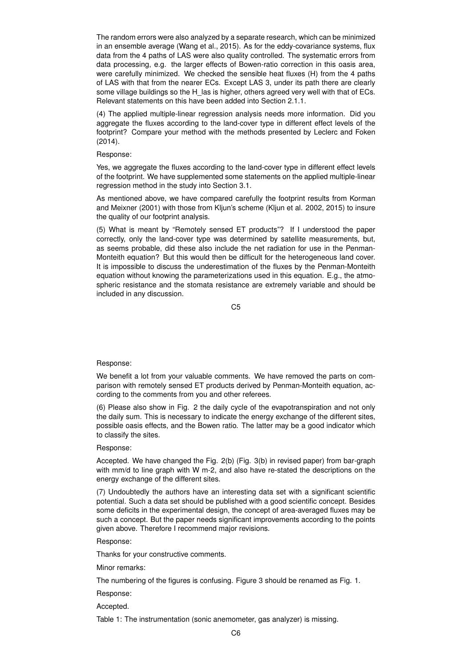The random errors were also analyzed by a separate research, which can be minimized in an ensemble average (Wang et al., 2015). As for the eddy-covariance systems, flux data from the 4 paths of LAS were also quality controlled. The systematic errors from data processing, e.g. the larger effects of Bowen-ratio correction in this oasis area, were carefully minimized. We checked the sensible heat fluxes (H) from the 4 paths of LAS with that from the nearer ECs. Except LAS 3, under its path there are clearly some village buildings so the H\_las is higher, others agreed very well with that of ECs. Relevant statements on this have been added into Section 2.1.1.

(4) The applied multiple-linear regression analysis needs more information. Did you aggregate the fluxes according to the land-cover type in different effect levels of the footprint? Compare your method with the methods presented by Leclerc and Foken (2014).

### Response:

Yes, we aggregate the fluxes according to the land-cover type in different effect levels of the footprint. We have supplemented some statements on the applied multiple-linear regression method in the study into Section 3.1.

As mentioned above, we have compared carefully the footprint results from Korman and Meixner (2001) with those from Kljun's scheme (Kljun et al. 2002, 2015) to insure the quality of our footprint analysis.

(5) What is meant by "Remotely sensed ET products"? If I understood the paper correctly, only the land-cover type was determined by satellite measurements, but, as seems probable, did these also include the net radiation for use in the Penman-Monteith equation? But this would then be difficult for the heterogeneous land cover. It is impossible to discuss the underestimation of the fluxes by the Penman-Monteith equation without knowing the parameterizations used in this equation. E.g., the atmospheric resistance and the stomata resistance are extremely variable and should be included in any discussion.

C5

# Response:

We benefit a lot from your valuable comments. We have removed the parts on comparison with remotely sensed ET products derived by Penman-Monteith equation, according to the comments from you and other referees.

(6) Please also show in Fig. 2 the daily cycle of the evapotranspiration and not only the daily sum. This is necessary to indicate the energy exchange of the different sites, possible oasis effects, and the Bowen ratio. The latter may be a good indicator which to classify the sites.

## Response:

Accepted. We have changed the Fig. 2(b) (Fig. 3(b) in revised paper) from bar-graph with mm/d to line graph with W m-2, and also have re-stated the descriptions on the energy exchange of the different sites.

(7) Undoubtedly the authors have an interesting data set with a significant scientific potential. Such a data set should be published with a good scientific concept. Besides some deficits in the experimental design, the concept of area-averaged fluxes may be such a concept. But the paper needs significant improvements according to the points given above. Therefore I recommend major revisions.

#### Response:

Thanks for your constructive comments.

Minor remarks:

The numbering of the figures is confusing. Figure 3 should be renamed as Fig. 1.

Response:

Accepted.

Table 1: The instrumentation (sonic anemometer, gas analyzer) is missing.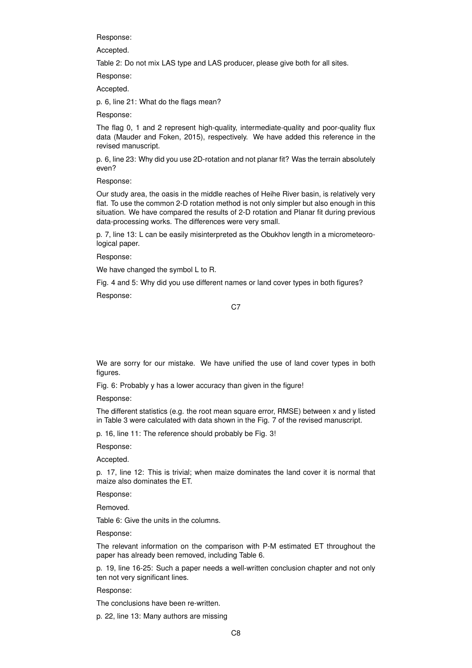Response:

Accepted.

Table 2: Do not mix LAS type and LAS producer, please give both for all sites.

Response:

Accepted.

p. 6, line 21: What do the flags mean?

Response:

The flag 0, 1 and 2 represent high-quality, intermediate-quality and poor-quality flux data (Mauder and Foken, 2015), respectively. We have added this reference in the revised manuscript.

p. 6, line 23: Why did you use 2D-rotation and not planar fit? Was the terrain absolutely even?

Response:

Our study area, the oasis in the middle reaches of Heihe River basin, is relatively very flat. To use the common 2-D rotation method is not only simpler but also enough in this situation. We have compared the results of 2-D rotation and Planar fit during previous data-processing works. The differences were very small.

p. 7, line 13: L can be easily misinterpreted as the Obukhov length in a micrometeorological paper.

Response:

We have changed the symbol L to R.

Fig. 4 and 5: Why did you use different names or land cover types in both figures? Response:

C<sub>7</sub>

We are sorry for our mistake. We have unified the use of land cover types in both figures.

Fig. 6: Probably y has a lower accuracy than given in the figure!

Response:

The different statistics (e.g. the root mean square error, RMSE) between x and y listed in Table 3 were calculated with data shown in the Fig. 7 of the revised manuscript.

p. 16, line 11: The reference should probably be Fig. 3!

Response:

Accepted.

p. 17, line 12: This is trivial; when maize dominates the land cover it is normal that maize also dominates the ET.

Response:

Removed.

Table 6: Give the units in the columns.

Response:

The relevant information on the comparison with P-M estimated ET throughout the paper has already been removed, including Table 6.

p. 19, line 16-25: Such a paper needs a well-written conclusion chapter and not only ten not very significant lines.

Response:

The conclusions have been re-written.

p. 22, line 13: Many authors are missing